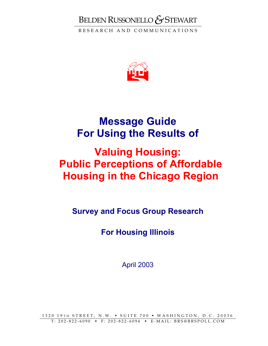# BELDEN RUSSONELLO*&*STEWART

RESEARCH AND COMMUNICATIONS



# **Message Guide For Using the Results of**

# **Valuing Housing: Public Perceptions of Affordable Housing in the Chicago Region**

**Survey and Focus Group Research** 

**For Housing Illinois** 

April 2003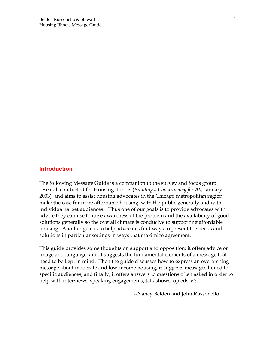#### **Introduction**

The following Message Guide is a companion to the survey and focus group research conducted for Housing Illinois (*Building a Constituency for All,* January 2003), and aims to assist housing advocates in the Chicago metropolitan region make the case for more affordable housing, with the public generally and with individual target audiences. Thus one of our goals is to provide advocates with advice they can use to raise awareness of the problem and the availability of good solutions generally so the overall climate is conducive to supporting affordable housing. Another goal is to help advocates find ways to present the needs and solutions in particular settings in ways that maximize agreement.

This guide provides some thoughts on support and opposition; it offers advice on image and language; and it suggests the fundamental elements of a message that need to be kept in mind. Then the guide discusses how to express an overarching message about moderate and low-income housing; it suggests messages honed to specific audiences; and finally, it offers answers to questions often asked in order to help with interviews, speaking engagements, talk shows, op eds, *etc*.

--Nancy Belden and John Russonello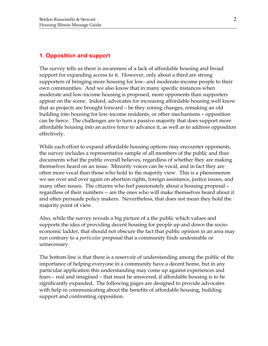# **1. Opposition and support**

The survey tells us there is awareness of a lack of affordable housing and broad support for expanding access to it. However, only about a third are strong supporters of bringing more housing for low- and moderate-income people to their own communities. And we also know that in many specific instances when moderate and low-income housing is proposed, more opponents than supporters appear on the scene. Indeed, advocates for increasing affordable housing well know that as projects are brought forward – be they zoning changes, remaking an old building into housing for low-income residents, or other mechanisms – opposition can be fierce. The challenges are to turn a passive majority that does support more affordable housing into an active force to advance it, as well as to address opposition effectively.

While each effort to expand affordable housing options may encounter opponents, the survey includes a representative sample of all members of the public and thus documents what the public overall believes, regardless of whether they are making themselves heard on an issue. Minority voices can be vocal, and in fact they are often more vocal than those who hold to the majority view. This is a phenomenon we see over and over again on abortion rights, foreign assistance, justice issues, and many other issues. The citizens who feel passionately about a housing proposal – regardless of their numbers -- are the ones who will make themselves heard about it and often persuade policy makers. Nevertheless, that does not mean they hold the majority point of view.

Also, while the survey reveals a big picture of a the public which values and supports the idea of providing decent housing for people up and down the socioeconomic ladder, that should not obscure the fact that public opinion in an area may run contrary to a *particular* proposal that a community finds undesirable or unnecessary.

The bottom line is that there is a reservoir of understanding among the public of the importance of helping everyone in a community have a decent home, but in any particular application this understanding may come up against experiences and fears – real and imagined – that must be answered, if affordable housing is to be significantly expanded. The following pages are designed to provide advocates with help in communicating about the benefits of affordable housing, building support and confronting opposition.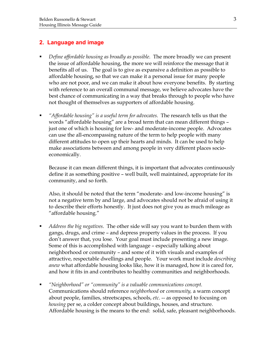# **2. Language and image**

- *Define affordable housing as broadly as possible.* The more broadly we can present the issue of affordable housing, the more we will reinforce the message that it benefits all of us. The goal is to give as expansive a definition as possible to affordable housing, so that we can make it a personal issue for many people who are not poor, and we can make it about how everyone benefits. By starting with reference to an overall communal message, we believe advocates have the best chance of communicating in a way that breaks through to people who have not thought of themselves as supporters of affordable housing.
- *"Affordable housing" is a useful term for advocates.* The research tells us that the words "affordable housing" are a broad term that can mean different things – just one of which is housing for low- and moderate-income people. Advocates can use the all-encompassing nature of the term to help people with many different attitudes to open up their hearts and minds. It can be used to help make associations between and among people in very different places socioeconomically.

Because it can mean different things, it is important that advocates continuously define it as something positive – well built, well maintained, appropriate for its community, and so forth.

Also, it should be noted that the term "moderate- and low-income housing" is not a negative term by and large, and advocates should not be afraid of using it to describe their efforts honestly. It just does not give you as much mileage as "affordable housing."

- *Address the big negatives.* The other side will say you want to burden them with gangs, drugs, and crime – and depress property values in the process. If you don't answer that, you lose. Your goal must include presenting a new image. Some of this is accomplished with language – especially talking about neighborhood or community – and some of it with visuals and examples of attractive, respectable dwellings and people. Your work must include *describing anew* what affordable housing looks like, how it is managed, how it is cared for, and how it fits in and contributes to healthy communities and neighborhoods.
- *"Neighborhood" or "community" is a valuable communications concept.* Communications should reference *neighborhood* or *community,* a warm concept about people, families, streetscapes, schools, *etc*. -- as opposed to focusing on *housing* per se, a colder concept about buildings, houses, and structure. Affordable housing is the means to the end: solid, safe, pleasant neighborhoods.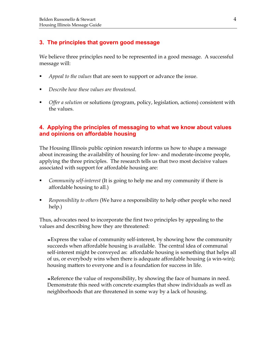# **3. The principles that govern good message**

We believe three principles need to be represented in a good message. A successful message will:

- *Appeal to the values* that are seen to support or advance the issue.
- *Describe how these values are threatened*.
- *Offer a solution* or solutions (program, policy, legislation, actions) consistent with the values.

# **4. Applying the principles of messaging to what we know about values and opinions on affordable housing**

The Housing Illinois public opinion research informs us how to shape a message about increasing the availability of housing for low- and moderate-income people, applying the three principles. The research tells us that two most decisive values associated with support for affordable housing are:

- *Community self-interest* (It is going to help me and my community if there is affordable housing to all.)
- *Responsibility to others* (We have a responsibility to help other people who need help.)

Thus, advocates need to incorporate the first two principles by appealing to the values and describing how they are threatened:

Express the value of community self-interest, by showing how the community succeeds when affordable housing is available. The central idea of communal self-interest might be conveyed as: affordable housing is something that helps all of us, or everybody wins when there is adequate affordable housing (a win-win); housing matters to everyone and is a foundation for success in life.

Reference the value of responsibility, by showing the face of humans in need. Demonstrate this need with concrete examples that show individuals as well as neighborhoods that are threatened in some way by a lack of housing.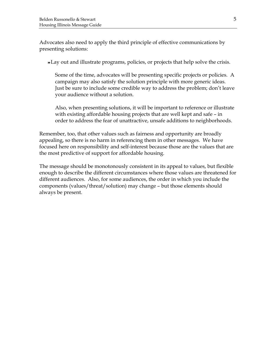Advocates also need to apply the third principle of effective communications by presenting solutions:

Lay out and illustrate programs, policies, or projects that help solve the crisis.

Some of the time, advocates will be presenting specific projects or policies. A campaign may also satisfy the solution principle with more generic ideas. Just be sure to include some credible way to address the problem; don't leave your audience without a solution.

Also, when presenting solutions, it will be important to reference or illustrate with existing affordable housing projects that are well kept and safe – in order to address the fear of unattractive, unsafe additions to neighborhoods.

Remember, too, that other values such as fairness and opportunity are broadly appealing, so there is no harm in referencing them in other messages. We have focused here on responsibility and self-interest because those are the values that are the most predictive of support for affordable housing.

The message should be monotonously consistent in its appeal to values, but flexible enough to describe the different circumstances where those values are threatened for different audiences. Also, for some audiences, the order in which you include the components (values/threat/solution) may change – but those elements should always be present.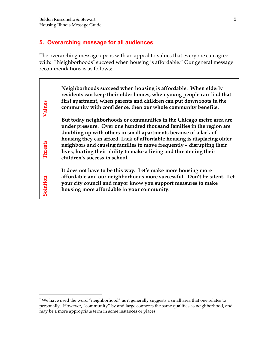$\overline{a}$ 

# **5. Overarching message for all audiences**

The overarching message opens with an appeal to values that everyone can agree with: "Neighborhoods<sup>\*</sup> succeed when housing is affordable." Our general message recommendations is as follows:

| Values         | Neighborhoods succeed when housing is affordable. When elderly<br>residents can keep their older homes, when young people can find that<br>first apartment, when parents and children can put down roots in the<br>community with confidence, then our whole community benefits.                                            |
|----------------|-----------------------------------------------------------------------------------------------------------------------------------------------------------------------------------------------------------------------------------------------------------------------------------------------------------------------------|
|                | But today neighborhoods or communities in the Chicago metro area are<br>under pressure. Over one hundred thousand families in the region are                                                                                                                                                                                |
| <b>Threats</b> | doubling up with others in small apartments because of a lack of<br>housing they can afford. Lack of affordable housing is displacing older<br>neighbors and causing families to move frequently - disrupting their<br>lives, hurting their ability to make a living and threatening their<br>children's success in school. |
| Solution       | It does not have to be this way. Let's make more housing more<br>affordable and our neighborhoods more successful. Don't be silent. Let<br>your city council and mayor know you support measures to make<br>housing more affordable in your community.                                                                      |

<sup>∗</sup> We have used the word "neighborhood" as it generally suggests a small area that one relates to personally. However, "community" by and large connotes the same qualities as neighborhood, and may be a more appropriate term in some instances or places.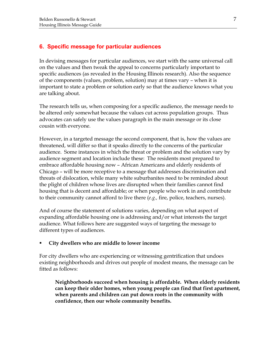# **6. Specific message for particular audiences**

In devising messages for particular audiences, we start with the same universal call on the values and then tweak the appeal to concerns particularly important to specific audiences (as revealed in the Housing Illinois research). Also the sequence of the components (values, problem, solution) may at times vary – when it is important to state a problem or solution early so that the audience knows what you are talking about.

The research tells us, when composing for a specific audience, the message needs to be altered only somewhat because the values cut across population groups. Thus advocates can safely use the values paragraph in the main message or its close cousin with everyone.

However, in a targeted message the second component, that is, how the values are threatened, will differ so that it speaks directly to the concerns of the particular audience. Some instances in which the threat or problem and the solution vary by audience segment and location include these: The residents most prepared to embrace affordable housing now – African Americans and elderly residents of Chicago – will be more receptive to a message that addresses discrimination and threats of dislocation, while many white suburbanites need to be reminded about the plight of children whose lives are disrupted when their families cannot find housing that is decent and affordable; or when people who work in and contribute to their community cannot afford to live there (*e.g.,* fire, police, teachers, nurses).

And of course the statement of solutions varies, depending on what aspect of expanding affordable housing one is addressing and/or what interests the target audience. What follows here are suggested ways of targeting the message to different types of audiences.

#### **City dwellers who are middle to lower income**

For city dwellers who are experiencing or witnessing gentrification that undoes existing neighborhoods and drives out people of modest means, the message can be fitted as follows:

**Neighborhoods succeed when housing is affordable. When elderly residents can keep their older homes, when young people can find that first apartment, when parents and children can put down roots in the community with confidence, then our whole community benefits.**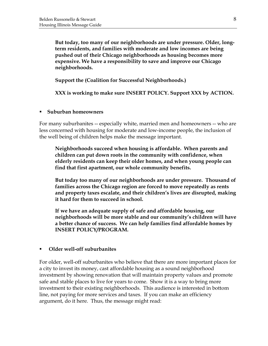**But today, too many of our neighborhoods are under pressure. Older, longterm residents, and families with moderate and low incomes are being pushed out of their Chicago neighborhoods as housing becomes more expensive. We have a responsibility to save and improve our Chicago neighborhoods.** 

**Support the (Coalition for Successful Neighborhoods.)** 

**XXX is working to make sure INSERT POLICY. Support XXX by ACTION.** 

#### **Suburban homeowners**

For many suburbanites -- especially white, married men and homeowners -- who are less concerned with housing for moderate and low-income people, the inclusion of the well being of children helps make the message important.

**Neighborhoods succeed when housing is affordable. When parents and children can put down roots in the community with confidence, when elderly residents can keep their older homes, and when young people can find that first apartment, our whole community benefits.** 

**But today too many of our neighborhoods are under pressure. Thousand of families across the Chicago region are forced to move repeatedly as rents and property taxes escalate, and their children's lives are disrupted, making it hard for them to succeed in school.** 

**If we have an adequate supply of safe and affordable housing, our neighborhoods will be more stable and our community's children will have a better chance of success. We can help families find affordable homes by INSERT POLICY/PROGRAM.** 

#### **Older well-off suburbanites**

For older, well-off suburbanites who believe that there are more important places for a city to invest its money, cast affordable housing as a sound neighborhood investment by showing renovation that will maintain property values and promote safe and stable places to live for years to come. Show it is a way to bring more investment to their existing neighborhoods. This audience is interested in bottom line, not paying for more services and taxes. If you can make an efficiency argument, do it here. Thus, the message might read: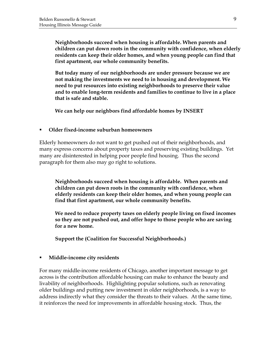**Neighborhoods succeed when housing is affordable. When parents and children can put down roots in the community with confidence, when elderly residents can keep their older homes, and when young people can find that first apartment, our whole community benefits.** 

**But today many of our neighborhoods are under pressure because we are not making the investments we need to in housing and development. We need to put resources into existing neighborhoods to preserve their value and to enable long-term residents and families to continue to live in a place that is safe and stable.** 

**We can help our neighbors find affordable homes by INSERT** 

#### **Older fixed-income suburban homeowners**

Elderly homeowners do not want to get pushed out of their neighborhoods, and many express concerns about property taxes and preserving existing buildings. Yet many are disinterested in helping poor people find housing. Thus the second paragraph for them also may go right to solutions.

**Neighborhoods succeed when housing is affordable. When parents and children can put down roots in the community with confidence, when elderly residents can keep their older homes, and when young people can find that first apartment, our whole community benefits.** 

**We need to reduce property taxes on elderly people living on fixed incomes so they are not pushed out, and offer hope to those people who are saving for a new home.** 

**Support the (Coalition for Successful Neighborhoods.)** 

#### **Middle-income city residents**

For many middle-income residents of Chicago, another important message to get across is the contribution affordable housing can make to enhance the beauty and livability of neighborhoods. Highlighting popular solutions, such as renovating older buildings and putting new investment in older neighborhoods, is a way to address indirectly what they consider the threats to their values. At the same time, it reinforces the need for improvements in affordable housing stock. Thus, the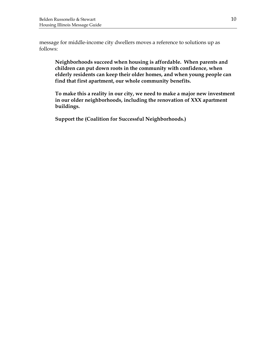message for middle-income city dwellers moves a reference to solutions up as follows:

**Neighborhoods succeed when housing is affordable. When parents and children can put down roots in the community with confidence, when elderly residents can keep their older homes, and when young people can find that first apartment, our whole community benefits.** 

**To make this a reality in our city, we need to make a major new investment in our older neighborhoods, including the renovation of XXX apartment buildings.** 

**Support the (Coalition for Successful Neighborhoods.)**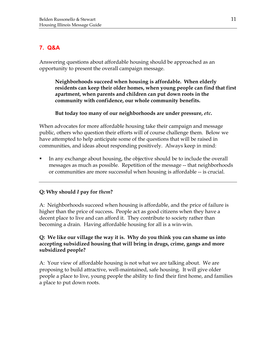# **7. Q&A**

Answering questions about affordable housing should be approached as an opportunity to present the overall campaign message.

**Neighborhoods succeed when housing is affordable. When elderly residents can keep their older homes, when young people can find that first apartment, when parents and children can put down roots in the community with confidence, our whole community benefits.** 

**But today too many of our neighborhoods are under pressure,** *etc***.** 

When advocates for more affordable housing take their campaign and message public, others who question their efforts will of course challenge them. Below we have attempted to help anticipate some of the questions that will be raised in communities, and ideas about responding positively. Always keep in mind:

 In any exchange about housing, the objective should be to include the overall messages as much as possible. Repetition of the message -- that neighborhoods or communities are more successful when housing is affordable -- is crucial.

# **Q: Why should** *I* **pay for** *them***?**

A: Neighborhoods succeed when housing is affordable, and the price of failure is higher than the price of success**.** People act as good citizens when they have a decent place to live and can afford it. They contribute to society rather than becoming a drain. Having affordable housing for all is a win-win.

# **Q: We like our village the way it is. Why do you think you can shame us into accepting subsidized housing that will bring in drugs, crime, gangs and more subsidized people?**

A: Your view of affordable housing is not what we are talking about. We are proposing to build attractive, well-maintained, safe housing. It will give older people a place to live, young people the ability to find their first home, and families a place to put down roots.